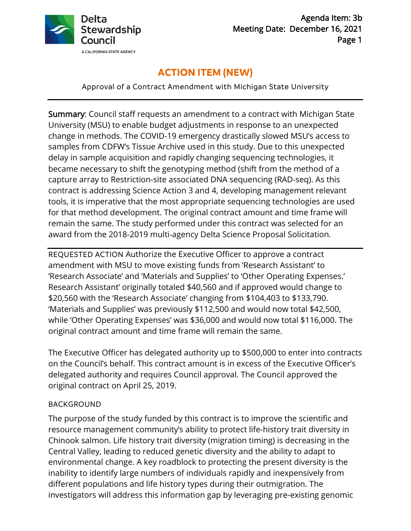

# **ACTION ITEM (NEW)**

Approval of a Contract Amendment with Michigan State University

Summary: Council staff requests an amendment to a contract with Michigan State University (MSU) to enable budget adjustments in response to an unexpected change in methods. The COVID-19 emergency drastically slowed MSU's access to samples from CDFW's Tissue Archive used in this study. Due to this unexpected delay in sample acquisition and rapidly changing sequencing technologies, it became necessary to shift the genotyping method (shift from the method of a capture array to Restriction-site associated DNA sequencing (RAD-seq). As this contract is addressing Science Action 3 and 4, developing management relevant tools, it is imperative that the most appropriate sequencing technologies are used for that method development. The original contract amount and time frame will remain the same. The study performed under this contract was selected for an award from the 2018-2019 multi-agency Delta Science Proposal Solicitation*.*

REQUESTED ACTION Authorize the Executive Officer to approve a contract amendment with MSU to move existing funds from 'Research Assistant' to 'Research Associate' and 'Materials and Supplies' to 'Other Operating Expenses.' Research Assistant' originally totaled \$40,560 and if approved would change to \$20,560 with the 'Research Associate' changing from \$104,403 to \$133,790. 'Materials and Supplies' was previously \$112,500 and would now total \$42,500, while 'Other Operating Expenses' was \$36,000 and would now total \$116,000. The original contract amount and time frame will remain the same.

The Executive Officer has delegated authority up to \$500,000 to enter into contracts on the Council's behalf. This contract amount is in excess of the Executive Officer's delegated authority and requires Council approval. The Council approved the original contract on April 25, 2019.

## BACKGROUND

The purpose of the study funded by this contract is to improve the scientific and resource management community's ability to protect life-history trait diversity in Chinook salmon. Life history trait diversity (migration timing) is decreasing in the Central Valley, leading to reduced genetic diversity and the ability to adapt to environmental change. A key roadblock to protecting the present diversity is the inability to identify large numbers of individuals rapidly and inexpensively from different populations and life history types during their outmigration. The investigators will address this information gap by leveraging pre-existing genomic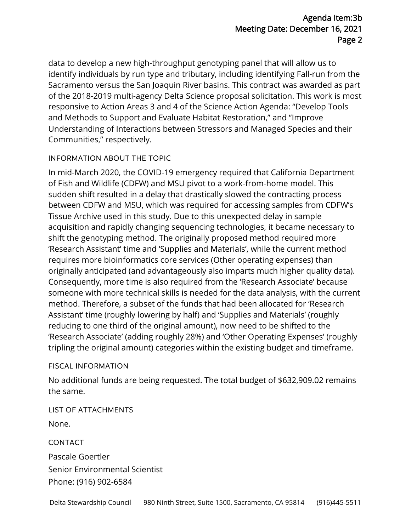### Agenda Item:3b Meeting Date: December 16, 2021 Page 2

data to develop a new high-throughput genotyping panel that will allow us to identify individuals by run type and tributary, including identifying Fall-run from the Sacramento versus the San Joaquin River basins. This contract was awarded as part of the 2018-2019 multi-agency Delta Science proposal solicitation. This work is most responsive to Action Areas 3 and 4 of the Science Action Agenda: "Develop Tools and Methods to Support and Evaluate Habitat Restoration," and "Improve Understanding of Interactions between Stressors and Managed Species and their Communities," respectively.

### INFORMATION ABOUT THE TOPIC

In mid-March 2020, the COVID-19 emergency required that California Department of Fish and Wildlife (CDFW) and MSU pivot to a work-from-home model. This sudden shift resulted in a delay that drastically slowed the contracting process between CDFW and MSU, which was required for accessing samples from CDFW's Tissue Archive used in this study. Due to this unexpected delay in sample acquisition and rapidly changing sequencing technologies, it became necessary to shift the genotyping method. The originally proposed method required more 'Research Assistant' time and 'Supplies and Materials', while the current method requires more bioinformatics core services (Other operating expenses) than originally anticipated (and advantageously also imparts much higher quality data). Consequently, more time is also required from the 'Research Associate' because someone with more technical skills is needed for the data analysis, with the current method. Therefore, a subset of the funds that had been allocated for 'Research Assistant' time (roughly lowering by half) and 'Supplies and Materials' (roughly reducing to one third of the original amount), now need to be shifted to the 'Research Associate' (adding roughly 28%) and 'Other Operating Expenses' (roughly tripling the original amount) categories within the existing budget and timeframe.

#### FISCAL INFORMATION

No additional funds are being requested. The total budget of \$632,909.02 remains the same.

LIST OF ATTACHMENTS

None.

CONTACT

Pascale Goertler Senior Environmental Scientist Phone: (916) 902-6584